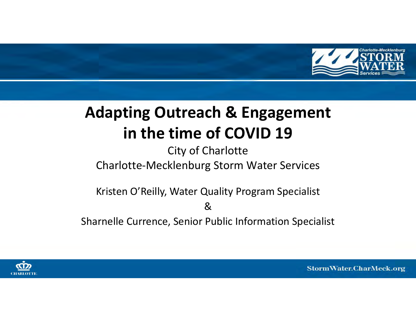

# **Adapting Outreach & Engagement in the time of COVID 19**

## City of Charlotte Charlotte-Mecklenburg Storm Water Services

Kristen O'Reilly, Water Quality Program Specialist

&

Sharnelle Currence, Senior Public Information Specialist

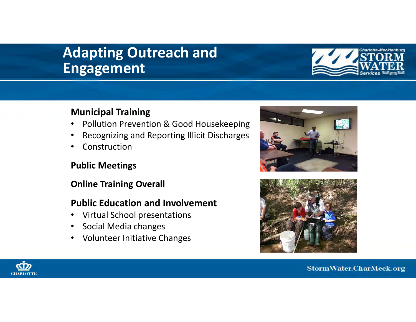# **Adapting Outreach and Engagement**



### **Municipal Training**

- $\bullet$ Pollution Prevention & Good Housekeeping
- •Recognizing and Reporting Illicit Discharges
- •Construction

### **Public Meetings**

### **Online Training Overall**

### **Public Education and Involvement**

- •Virtual School presentations
- $\bullet$ Social Media changes
- $\bullet$ Volunteer Initiative Changes





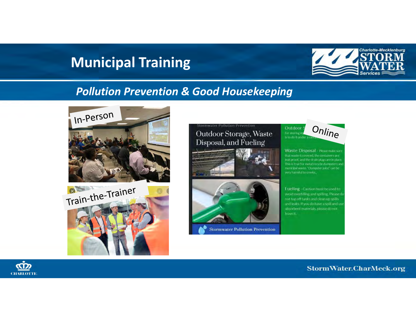

### *Pollution Prevention & Good Housekeeping*





### Outdoor Storage, Waste Disposal, and Fueling

ormwater Pollution Preventio





**Stormwater Pollution Prevention** 



Waste Disposal - Please make sur that waste is covered, the container sare leak proof, and the drain plugs are in place This is true for metaTrecycle dumpsters and municipal waste. "Dumpster julos" can be

Fueling - Caution must be used to: avoid overfilling and spilling. Please do not top off tanks and clean up spills and leaks. If you do have a spill and us absorbent materials, please do not

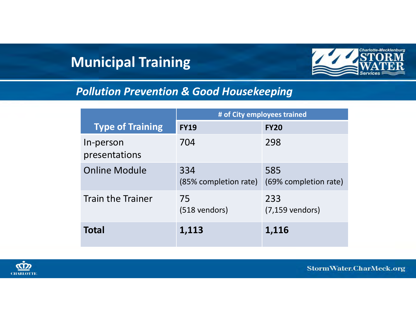

## *Pollution Prevention & Good Housekeeping*

|                            | # of City employees trained  |                              |
|----------------------------|------------------------------|------------------------------|
| <b>Type of Training</b>    | <b>FY19</b>                  | <b>FY20</b>                  |
| In-person<br>presentations | 704                          | 298                          |
| <b>Online Module</b>       | 334<br>(85% completion rate) | 585<br>(69% completion rate) |
| <b>Train the Trainer</b>   | 75<br>(518 vendors)          | 233<br>$(7, 159$ vendors)    |
| <b>Total</b>               | 1,113                        | 1,116                        |

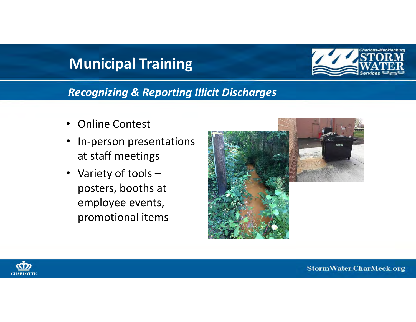

*Recognizing & Reporting Illicit Discharges*

- •Online Contest
- • In-person presentations at staff meetings
- • Variety of tools – posters, booths at employee events, promotional items



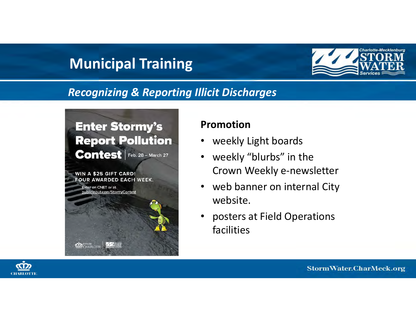

### *Recognizing & Reporting Illicit Discharges*

## **Enter Stormy's Report Pollution Contest**  $F$  Feb. 28 - March 27

WIN A \$25 GIFT CARD! FOUR AWARDED EACH WEEK.

**ZZZ ATOM** 

**CD** CHARLOTTE

Enter on CNET or at ublicinput.com/StormyContest

### **Promotion**

- weekly Light boards
- $\bullet$  weekly "blurbs" in the Crown Weekly e-newsletter
- $\bullet$  web banner on internal City website.
- $\bullet$  posters at Field Operations facilities

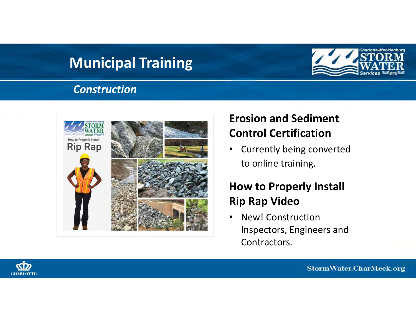### *Construction*



## **Erosion and Sediment Control Certification**

 $\bullet$  Currently being converted to online training.

## **How to Properly Install Rip Rap Video**

• New! Construction Inspectors, Engineers and Contractors.

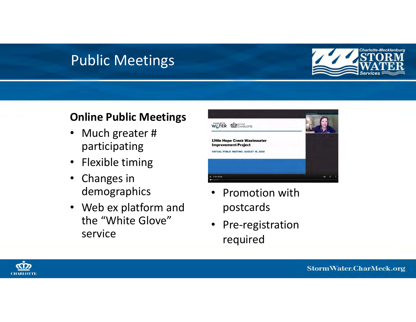# Public Meetings



### **Online Public Meetings**

- $\bullet$  Much greater # participating
- Flexible timing
- Changes in demographics
- Web ex platform and the "White Glove" service



- • Promotion with postcards
- • Pre-registration required

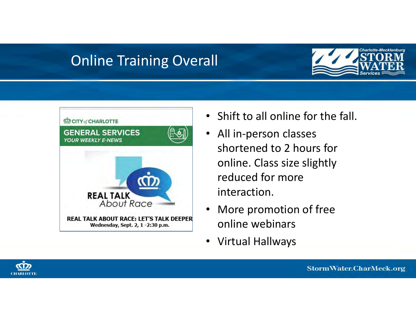# Online Training Overall





- $\bullet$ Shift to all online for the fall.
- $\bullet$  All in-person classes shortened to 2 hours for online. Class size slightly reduced for more interaction.
- $\bullet$  More promotion of free online webinars
- $\bullet$ Virtual Hallways

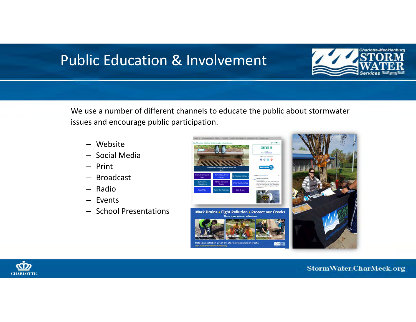

We use a number of different channels to educate the public about stormwater issues and encourage public participation.

- Website
- Social Media
- Print
- Broadcast
- Radio
- Events
- School Presentations





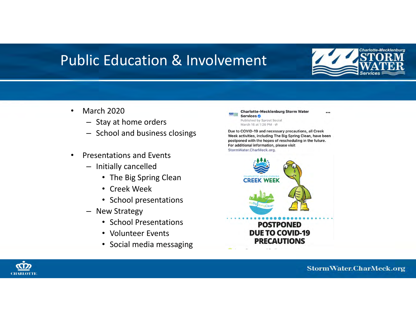

...

- • March 2020
	- Stay at home orders
	- School and business closings
- • Presentations and Events
	- Initially cancelled
		- The Big Spring Clean
		- Creek Week
		- School presentations
	- New Strategy
		- School Presentations
		- Volunteer Events
		- Social media messaging

**Charlotte-Mecklenburg Storm Water** Services<sup>o</sup> Published by Sprout Social March 16 at 1:26 PM · @ Due to COVID-19 and necessary precautions, all Creek

Week activities, including The Big Spring Clean, have been postponed with the hopes of rescheduling in the future. For additional information, please visit StormWater.CharMeck.org.



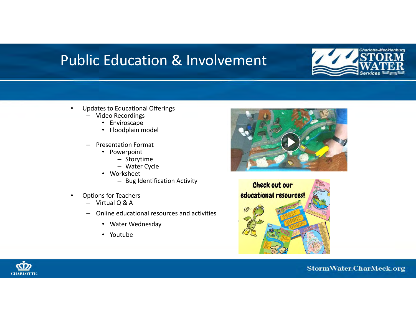

- • Updates to Educational Offerings
	- Video Recordings
		- Enviroscape
		- Floodplain model
	- – Presentation Format
		- Powerpoint
			- Storytime
			- Water Cycle
		- Worksheet
			- Bug Identification Activity
- • Options for Teachers
	- Virtual Q & A
	- Online educational resources and activities
		- Water Wednesday
		- Youtube





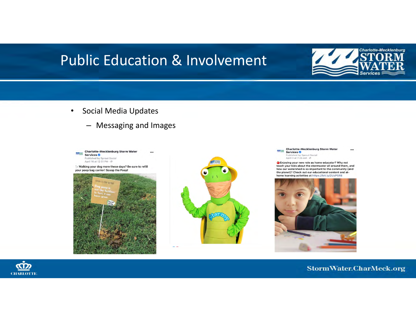

- • Social Media Updates
	- Messaging and Images



Walking your dog more these days? Be sure to refill your poop bag carrier! Scoop the Poop!





**Charlotte-Mecklenburg Storm Water** ...  $\mathcal{L}^{\mathcal{L}}$  ,  $\mathcal{L}_{\text{MSE}}$ Services<sup>o</sup> Published by Sprout Social<br>April 3 at 7:26 AM · (∂

Enjoying your new role as home educator? Why not teach your kids about the stormwater all around them, and how our watershed is so important to the community (and the planet)? Check out our educational content and athome learning activities at https://bit.ly/2UzP5R8



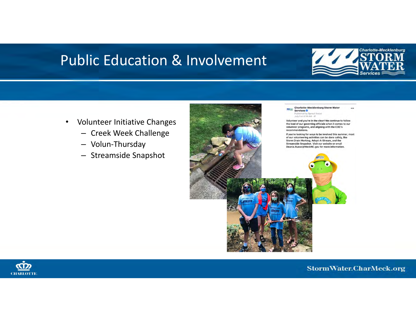

- $\bullet$  Volunteer Initiative Changes
	- Creek Week Challenge
	- Volun-Thursday
	- Streamside Snapshot